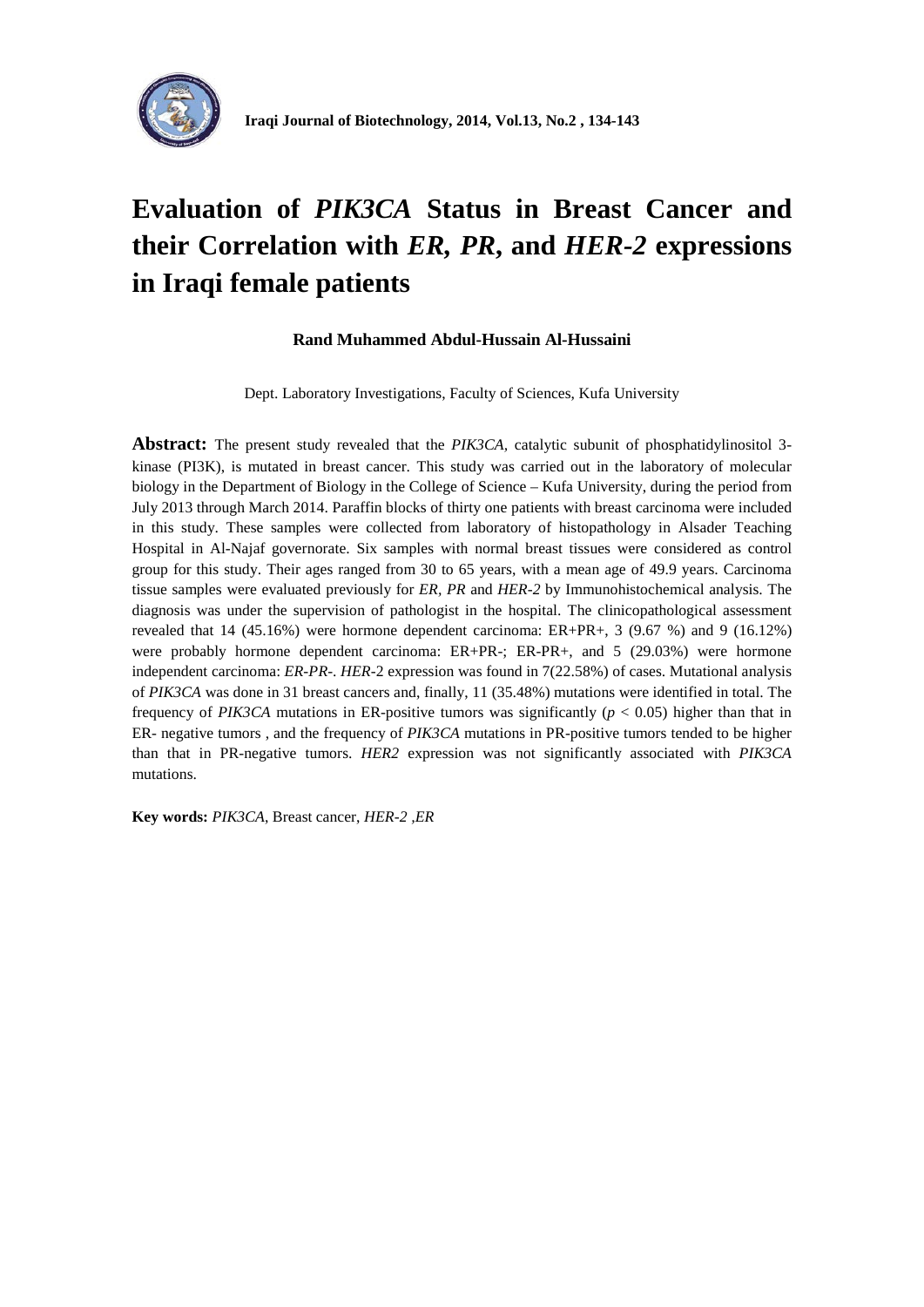

## **Evaluation of** *PIK3CA* **Status in Breast Cancer and their Correlation with** *ER, PR***, and** *HER-2* **expressions in Iraqi female patients**

#### **Rand Muhammed Abdul-Hussain Al-Hussaini**

Dept. Laboratory Investigations, Faculty of Sciences, Kufa University

**Abstract:** The present study revealed that the *PIK3CA,* catalytic subunit of phosphatidylinositol 3 kinase (PI3K), is mutated in breast cancer. This study was carried out in the laboratory of molecular biology in the Department of Biology in the College of Science – Kufa University, during the period from July 2013 through March 2014. Paraffin blocks of thirty one patients with breast carcinoma were included in this study. These samples were collected from laboratory of histopathology in Alsader Teaching Hospital in Al-Najaf governorate. Six samples with normal breast tissues were considered as control group for this study. Their ages ranged from 30 to 65 years, with a mean age of 49.9 years. Carcinoma tissue samples were evaluated previously for *ER, PR* and *HER-2* by Immunohistochemical analysis. The diagnosis was under the supervision of pathologist in the hospital. The clinicopathological assessment revealed that 14 (45.16%) were hormone dependent carcinoma: ER+PR+, 3 (9.67 %) and 9 (16.12%) were probably hormone dependent carcinoma: ER+PR-; ER-PR+, and 5 (29.03%) were hormone independent carcinoma: *ER-PR*-. *HER-*2 expression was found in 7(22.58%) of cases. Mutational analysis of *PIK3CA* was done in 31 breast cancers and, finally, 11 (35.48%) mutations were identified in total. The frequency of *PIK3CA* mutations in ER-positive tumors was significantly ( $p < 0.05$ ) higher than that in ER- negative tumors , and the frequency of *PIK3CA* mutations in PR-positive tumors tended to be higher than that in PR-negative tumors. *HER2* expression was not significantly associated with *PIK3CA* mutations.

**Key words:** *PIK3CA*, Breast cancer, *HER-2 ,ER*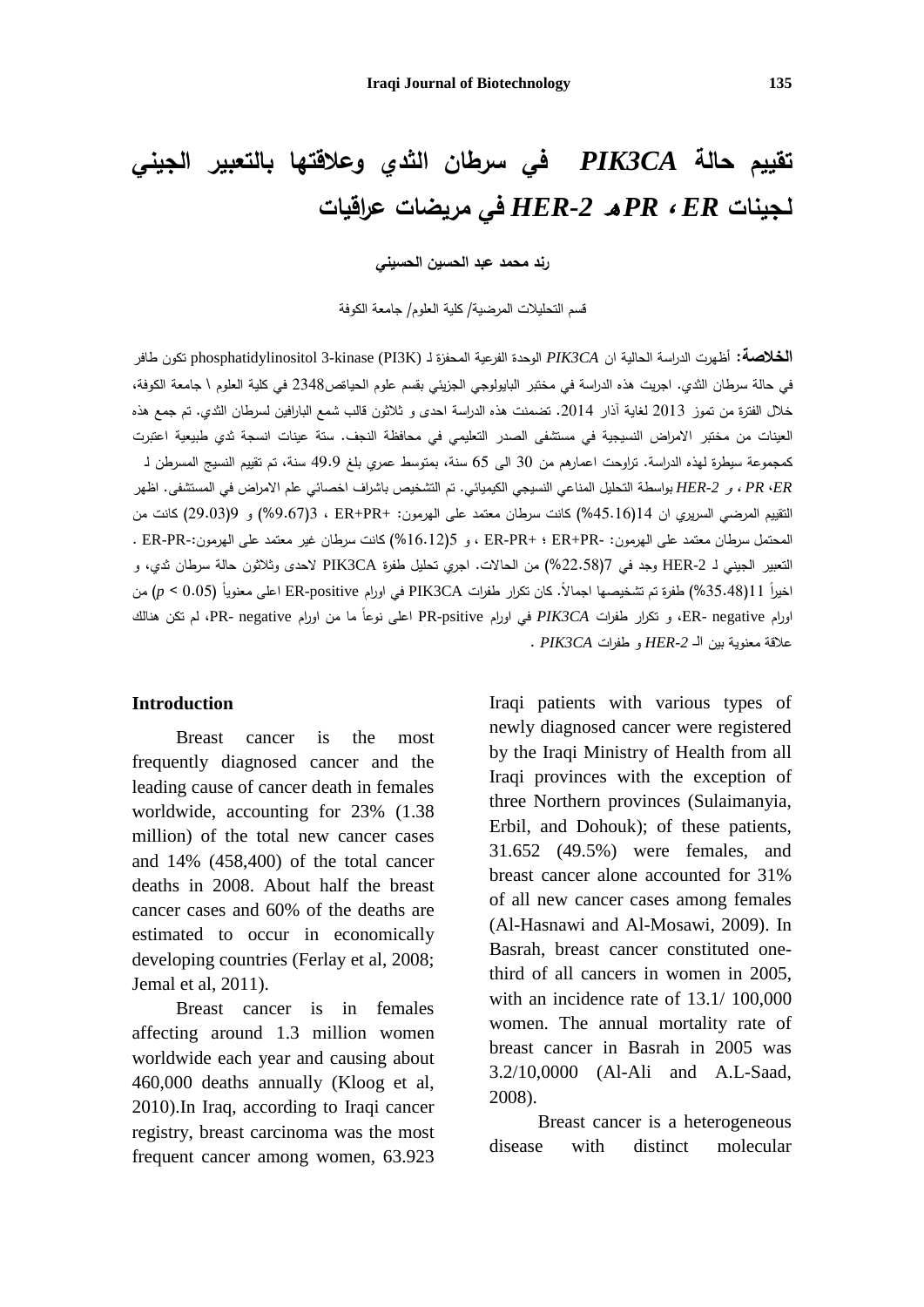# **تقييم حالة** *CA3PIK* **في سرطان الثدي و علاقتها بالتعبير الجيني لـجينات** *ER* ، *PR* <sup>ه</sup>*-2HER* **في مريضات عراقيات**

**رند محمد عبد الحسين الحسيني**

قسم التحليلات المرضية/ كلية العلوم/ جامعة الكوفة

**الخلاصة:** أظهرت الدراسة الحالية ان *CA3PIK* الوحدة الفرعية المحفزة لـ (K3PI (kinase3- phosphatidylinositol تكون طافر في حالة سرطان الثدي. اجريت هذه الدراسة في مختبر البايولوجي الجزيئي بقسم علوم الحياةص2348 في كلية العلوم \ جامعة الكوفة، خلال الفترة من تموز 2013 لغاية آذار 2014. تضمنت هذه الدراسة احدى و ثلاثون قالب شمع البارافين لسرطان الثدي. تم جمع هذه العينات من مختبر الامراض النسيجية في مستشفى الصدر التعليمي في محافظة النجف. ستة عينات انسجة ثدي طبيعية اعتبرت كمجموعة سيطرة لهذه الدراسة. تراوحت اعمارهم من 30 الى 65 سنة، بمتوسط عمري بلغ 49.9 سنة، تم تقييم النسيج المسرطن لـ *ER*، *PR* ، و *-2HER* بواسطة التحليل المناعي النسيجي الكيميائي. تم التشخيص باشراف اخصائي علم الامراض في المستشفى. اظهر التقييم المرضي السريري ان 14(%45.16) كانت سرطان معتمد على الهرمون: +PR+ER ، 3)%9.67 (و 9(29.03) كانت من المحتمل سرطان معتمد على الهرمون: -PR+ER ؛ +PR-ER ، و 5(%16.12) كانت سرطان غير معتمد على الهرمو ن-:PR-ER . التعبير الجيني لـ -2HER وجد في 7(%22.58) من الحالات. اجري تحليل طفرة CA3PIK لاحدى وثلاثون حالة سرطان ثدي، و اخيرا 11(35.48%) طفرة تم تشخيصـها اجمالا. كان نكرار طفرات PIK3CA في اورام ER-positive اعلى معنويا (0.05 > p) من اورام ER- negative، و تكرار طفرات PIK3CA في اورام PR-psitive اعلى نوعا ما من اورام PR- negative، لم تكن هنالك علاقة معنوية بين الـ *-2HER* و طفرات *CA3PIK* .

#### **Introduction**

Breast cancer is the most frequently diagnosed cancer and the leading cause of cancer death in females worldwide, accounting for 23% (1.38 million) of the total new cancer cases and 14% (458,400) of the total cancer deaths in 2008. About half the breast cancer cases and 60% of the deaths are estimated to occur in economically developing countries (Ferlay et al, 2008; Jemal et al, 2011).

Breast cancer is in females affecting around 1.3 million women worldwide each year and causing about 460,000 deaths annually (Kloog et al, 2010).In Iraq, according to Iraqi cancer registry, breast carcinoma was the most frequent cancer among women, 63.923

Iraqi patients with various types of newly diagnosed cancer were registered by the Iraqi Ministry of Health from all Iraqi provinces with the exception of three Northern provinces (Sulaimanyia, Erbil, and Dohouk); of these patients, 31.652 (49.5%) were females, and breast cancer alone accounted for 31% of all new cancer cases among females (Al-Hasnawi and Al-Mosawi, 2009). In Basrah, breast cancer constituted onethird of all cancers in women in 2005, with an incidence rate of 13.1/ 100,000 women. The annual mortality rate of breast cancer in Basrah in 2005 was 3.2/10,0000 (Al-Ali and A.L-Saad, 2008).

Breast cancer is a heterogeneous disease with distinct molecular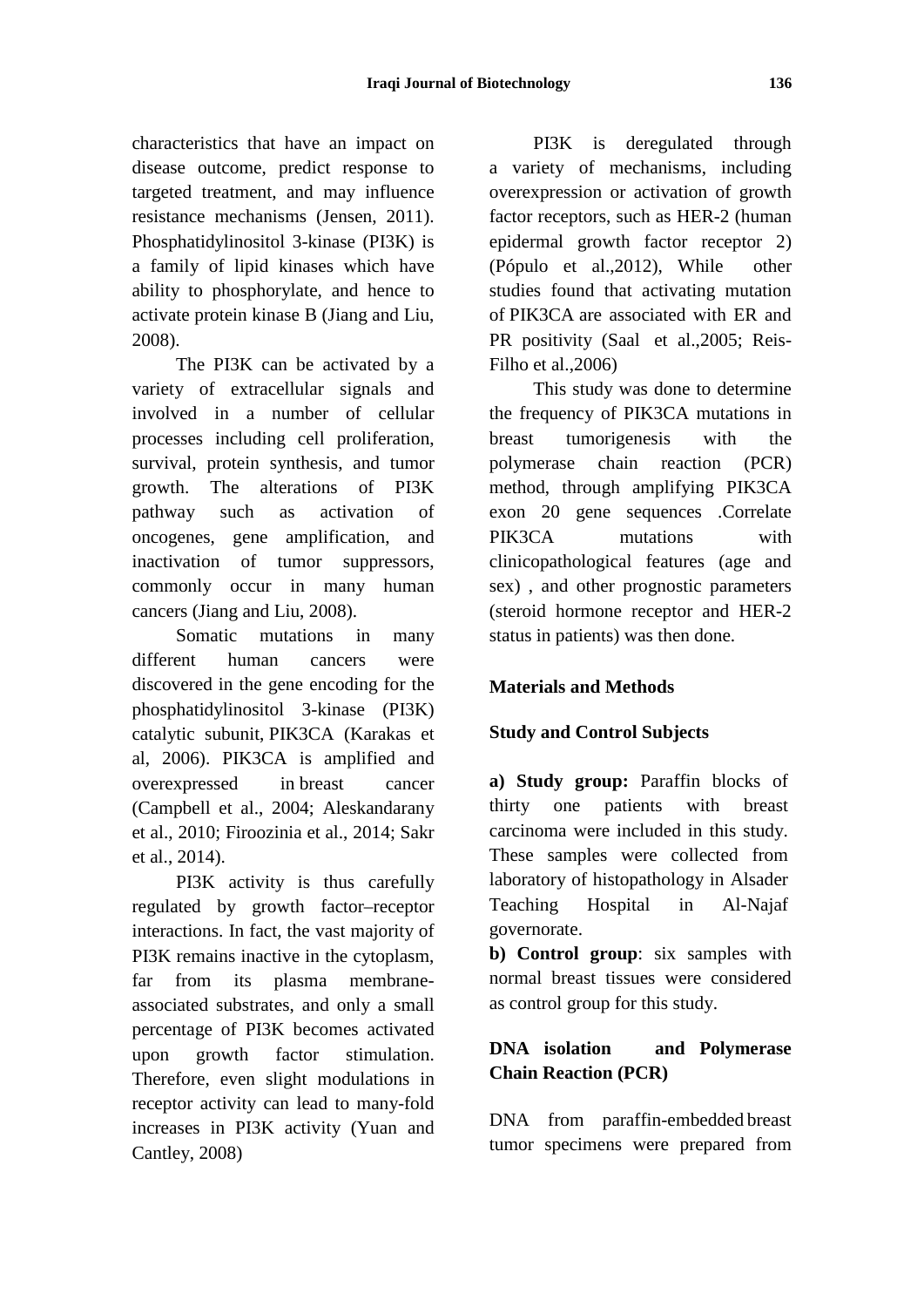characteristics that have an impact on disease outcome, predict response to targeted treatment, and may influence resistance mechanisms (Jensen, 2011). Phosphatidylinositol 3-kinase (PI3K) is a family of lipid kinases which have ability to phosphorylate, and hence to activate protein kinase B (Jiang and Liu, 2008).

The PI3K can be activated by a variety of extracellular signals and involved in a number of cellular processes including cell proliferation, survival, protein synthesis, and tumor growth. The alterations of PI3K pathway such as activation of oncogenes, gene amplification, and inactivation of tumor suppressors, commonly occur in many human cancers (Jiang and Liu, 2008).

Somatic mutations in many different human cancers were discovered in the gene encoding for the phosphatidylinositol 3-kinase (PI3K) catalytic subunit, PIK3CA (Karakas et al, 2006). PIK3CA is amplified and overexpressed in breast cancer (Campbell et al., 2004; Aleskandarany et al., 2010; Firoozinia et al., 2014; Sakr et al., 2014).

PI3K activity is thus carefully regulated by growth factor–receptor interactions. In fact, the vast majority of PI3K remains inactive in the cytoplasm, far from its plasma membraneassociated substrates, and only a small percentage of PI3K becomes activated upon growth factor stimulation. Therefore, even slight modulations in receptor activity can lead to many-fold increases in PI3K activity (Yuan and Cantley, 2008)

PI3K is deregulated through a variety of mechanisms, including overexpression or activation of growth factor receptors, such as HER-2 (human epidermal growth factor receptor 2) (Pópulo et al.,2012), While other studies found that activating mutation of PIK3CA are associated with ER and PR positivity (Saal et al.,2005; Reis-Filho et al.,2006)

This study was done to determine the frequency of PIK3CA mutations in breast tumorigenesis with the polymerase chain reaction (PCR) method, through amplifying PIK3CA exon 20 gene sequences .Correlate PIK3CA mutations with clinicopathological features (age and sex) , and other prognostic parameters (steroid hormone receptor and HER-2 status in patients) was then done.

## **Materials and Methods**

### **Study and Control Subjects**

**a) Study group:** Paraffin blocks of thirty one patients with breast carcinoma were included in this study. These samples were collected from laboratory of histopathology in Alsader Teaching Hospital in Al-Najaf governorate.

**b) Control group**: six samples with normal breast tissues were considered as control group for this study.

## **DNA isolation and Polymerase Chain Reaction (PCR)**

DNA from paraffin-embedded breast tumor specimens were prepared from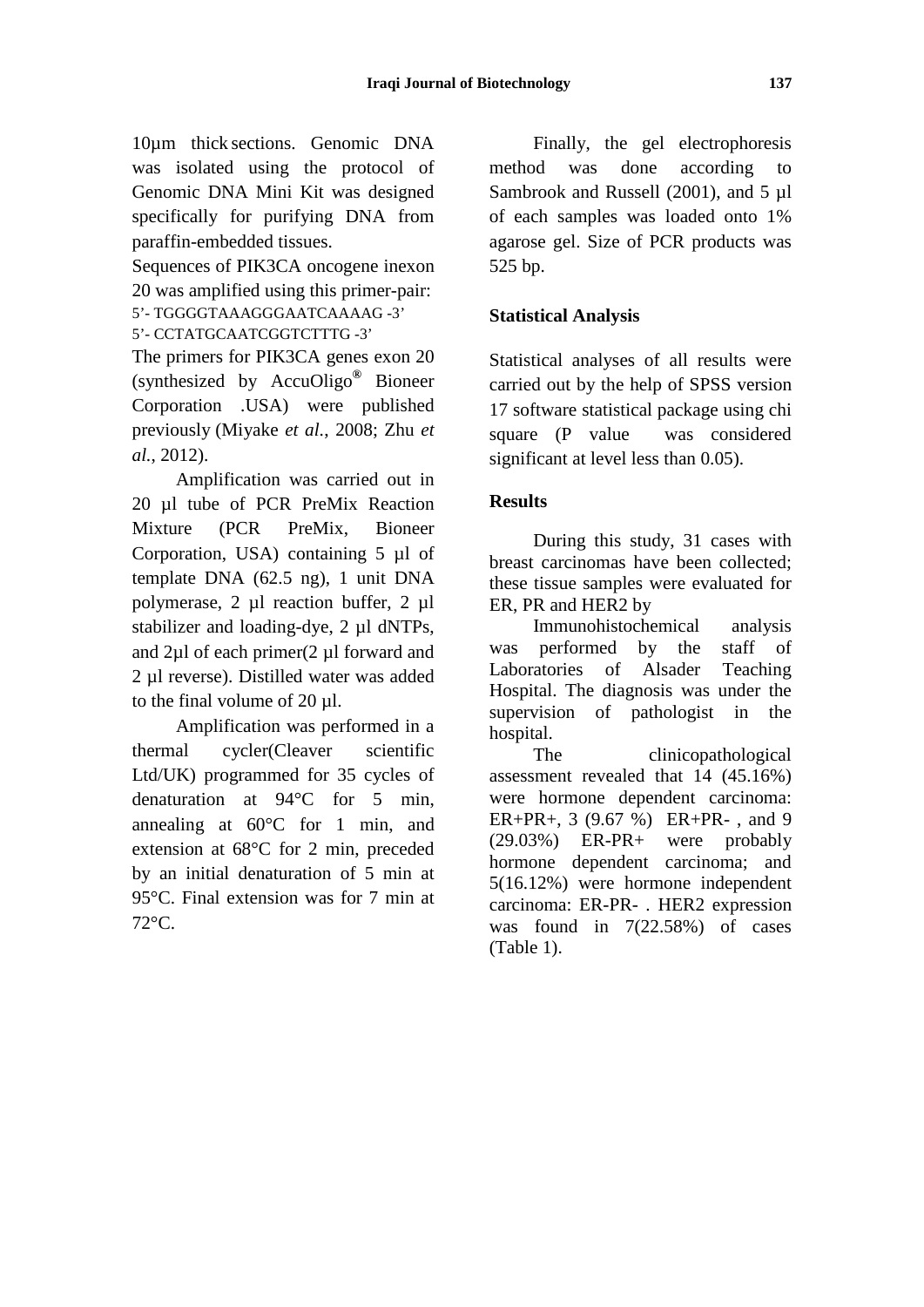10µm thick sections. Genomic DNA was isolated using the protocol of Genomic DNA Mini Kit was designed specifically for purifying DNA from paraffin-embedded tissues.

Sequences of PIK3CA oncogene inexon 20 was amplified using this primer-pair: 5'- TGGGGTAAAGGGAATCAAAAG -3'

5'- CCTATGCAATCGGTCTTTG -3'

The primers for PIK3CA genes exon 20 (synthesized by AccuOligo**®** Bioneer Corporation .USA) were published previously (Miyake *et al.*, 2008; Zhu *et al.*, 2012).

Amplification was carried out in 20 ul tube of PCR PreMix Reaction Mixture (PCR PreMix, Bioneer Corporation, USA) containing 5 µl of template DNA (62.5 ng), 1 unit DNA polymerase, 2 µl reaction buffer, 2 µl stabilizer and loading-dye, 2 µl dNTPs, and 2µl of each primer(2 µl forward and 2 µl reverse). Distilled water was added to the final volume of 20 µl.

Amplification was performed in a thermal cycler(Cleaver scientific Ltd/UK) programmed for 35 cycles of denaturation at 94°C for 5 min, annealing at 60°C for 1 min, and extension at 68°C for 2 min, preceded by an initial denaturation of 5 min at 95°C. Final extension was for 7 min at 72°C.

Finally, the gel electrophoresis method was done according to Sambrook and Russell (2001), and 5 µl of each samples was loaded onto 1% agarose gel. Size of PCR products was 525 bp.

## **Statistical Analysis**

Statistical analyses of all results were carried out by the help of SPSS version 17 software statistical package using chi square (P value was considered significant at level less than 0.05).

#### **Results**

During this study, 31 cases with breast carcinomas have been collected; these tissue samples were evaluated for ER, PR and HER2 by

Immunohistochemical analysis was performed by the staff of Laboratories of Alsader Teaching Hospital. The diagnosis was under the supervision of pathologist in the hospital.

The clinicopathological assessment revealed that 14 (45.16%) were hormone dependent carcinoma:  $ER+PR+, 3 (9.67 %) ER+PR-, and 9  
(29.03%) ER-PR+ were probably$  $(29.03\%)$  ER-PR+ were hormone dependent carcinoma; and 5(16.12%) were hormone independent carcinoma: ER-PR- . HER2 expression was found in 7(22.58%) of cases (Table 1).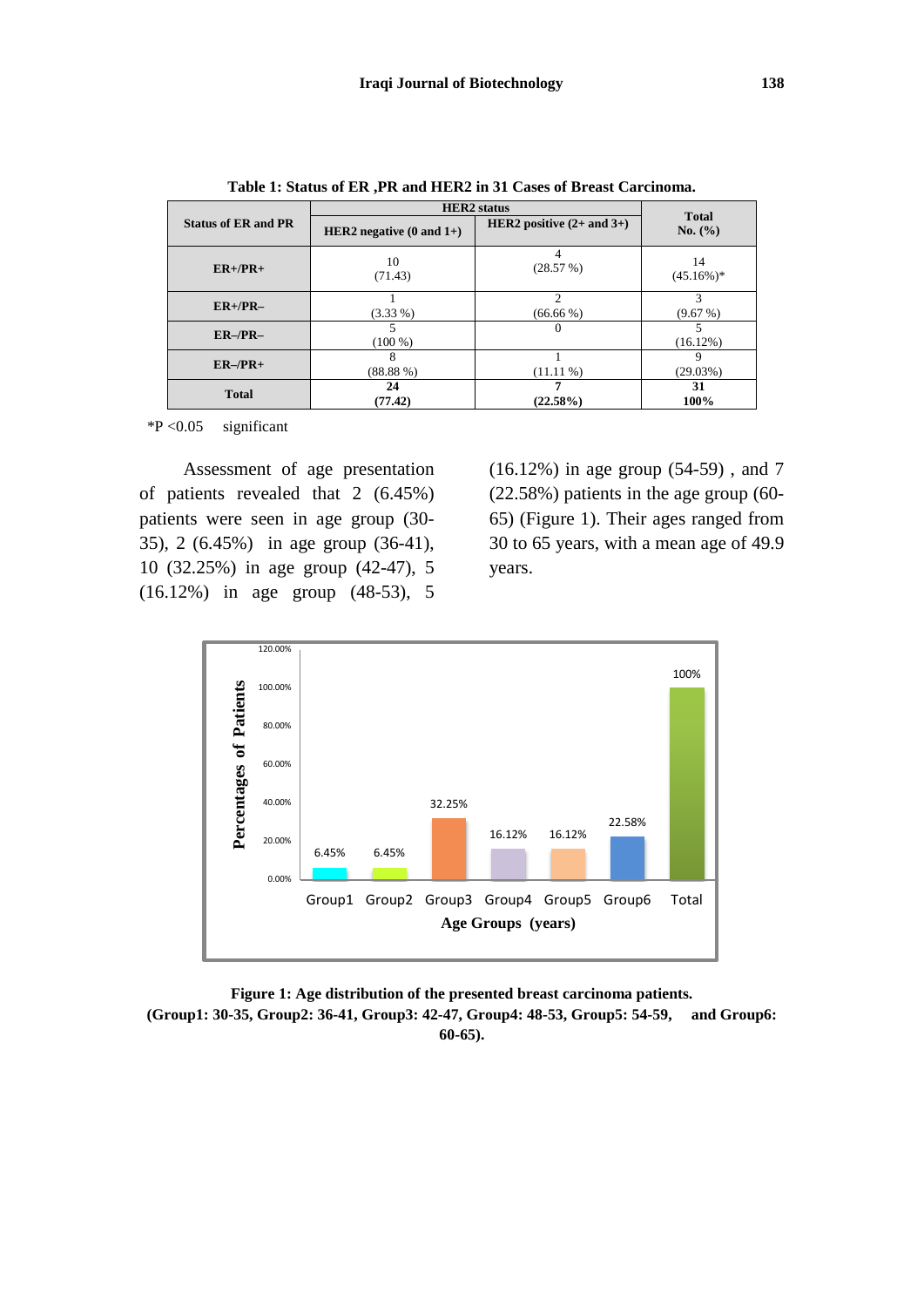|                            | <b>HER2</b> status                  |                               |                         |
|----------------------------|-------------------------------------|-------------------------------|-------------------------|
| <b>Status of ER and PR</b> | HER2 negative $(0 \text{ and } 1+)$ | HER2 positive $(2+$ and $3+)$ | <b>Total</b><br>No. (%) |
| $ER+/PR+$                  | 10<br>(71.43)                       | $\overline{4}$<br>(28.57%)    | 14<br>$(45.16\%)*$      |
| $ER+/PR-$                  | $(3.33\%)$                          | っ<br>$(66.66\%)$              | (9.67%)                 |
| $ER-/PR-$                  | $(100\%)$                           | $\Omega$                      | $(16.12\%)$             |
| $ER-/PR+$                  | (88.88%)                            | $(11.11\%)$                   | (29.03%)                |
| <b>Total</b>               | 24<br>(77.42)                       | 7<br>$(22.58\%)$              | 31<br>100%              |

**Table 1: Status of ER ,PR and HER2 in 31 Cases of Breast Carcinoma.**

\*P <0.05 significant

Assessment of age presentation of patients revealed that 2 (6.45%) patients were seen in age group (30- 35), 2 (6.45%) in age group (36-41), 10 (32.25%) in age group (42-47), 5 (16.12%) in age group (48-53), 5 (16.12%) in age group (54-59) , and 7 (22.58%) patients in the age group (60- 65) (Figure 1). Their ages ranged from 30 to 65 years, with a mean age of 49.9 years.



**Figure 1: Age distribution of the presented breast carcinoma patients.**

**(Group1: 30-35, Group2: 36-41, Group3: 42-47, Group4: 48-53, Group5: 54-59, and Group6: 60-65).**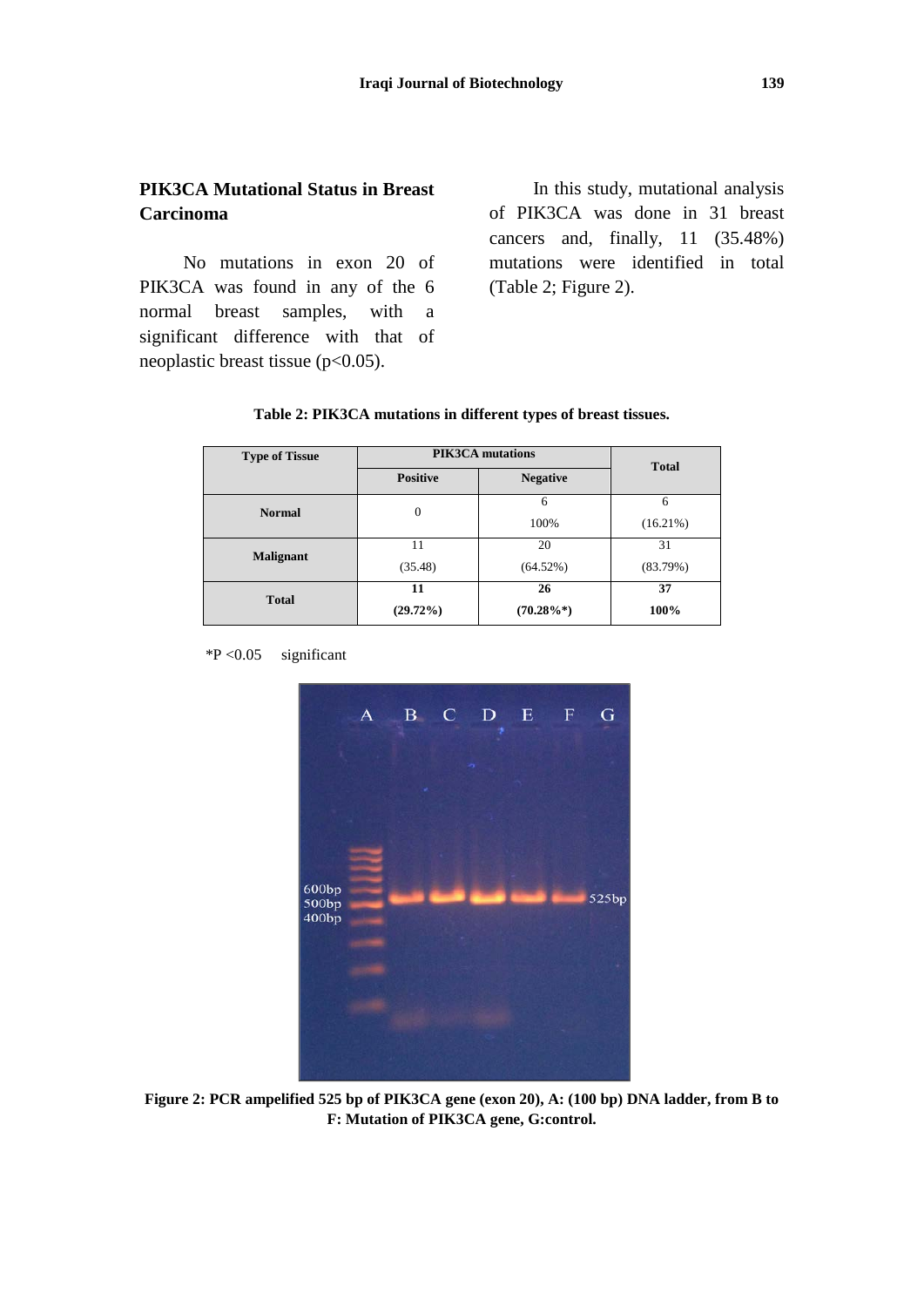### **PIK3CA Mutational Status in Breast Carcinoma**

No mutations in exon 20 of PIK3CA was found in any of the 6 normal breast samples, with a significant difference with that of neoplastic breast tissue (p<0.05).

In this study, mutational analysis of PIK3CA was done in 31 breast cancers and, finally, 11 (35.48%) mutations were identified in total (Table 2; Figure 2).

| <b>Type of Tissue</b> | <b>PIK3CA</b> mutations |                 | <b>Total</b> |
|-----------------------|-------------------------|-----------------|--------------|
|                       | <b>Positive</b>         | <b>Negative</b> |              |
| <b>Normal</b>         | $\theta$                | 6               | 6            |
|                       |                         | 100%            | $(16.21\%)$  |
| <b>Malignant</b>      | 11                      | 20              | 31           |
|                       | (35.48)                 | (64.52%)        | (83.79%)     |
| <b>Total</b>          | 11                      | 26              | 37           |
|                       | $(29.72\%)$             | $(70.28\%*)$    | 100%         |

#### **Table 2: PIK3CA mutations in different types of breast tissues.**

 $*P < 0.05$  significant



**Figure 2: PCR ampelified 525 bp of PIK3CA gene (exon 20), A: (100 bp) DNA ladder, from B to F: Mutation of PIK3CA gene, G:control.**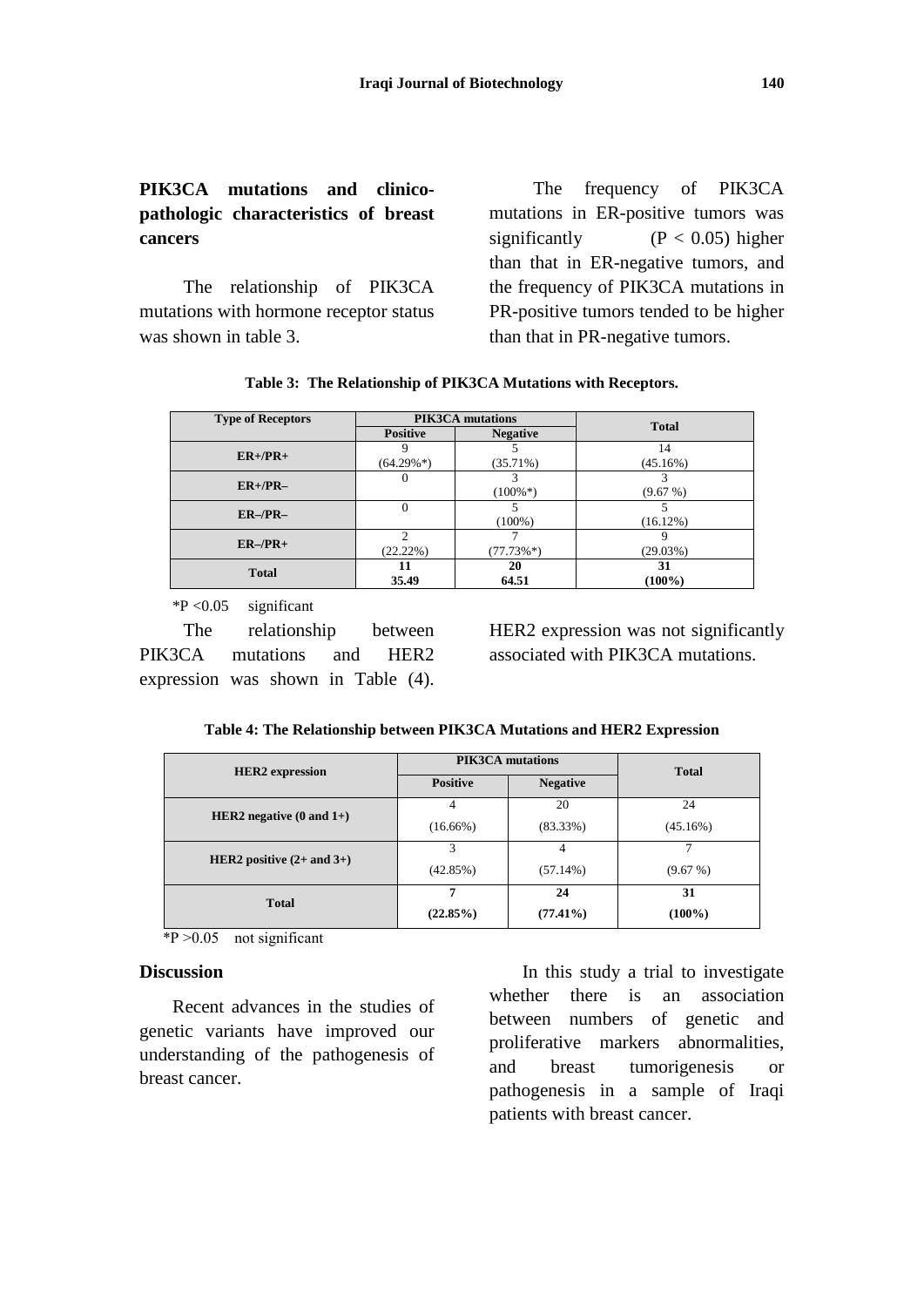## **PIK3CA mutations and clinicopathologic characteristics of breast cancers**

The relationship of PIK3CA mutations with hormone receptor status was shown in table 3.

The frequency of PIK3CA mutations in ER-positive tumors was significantly  $(P < 0.05)$  higher than that in ER-negative tumors, and the frequency of PIK3CA mutations in PR-positive tumors tended to be higher than that in PR-negative tumors.

| Table 3: The Relationship of PIK3CA Mutations with Receptors. |  |  |  |  |  |
|---------------------------------------------------------------|--|--|--|--|--|
|---------------------------------------------------------------|--|--|--|--|--|

| <b>Type of Receptors</b> | <b>PIK3CA</b> mutations      |                 | <b>Total</b>    |
|--------------------------|------------------------------|-----------------|-----------------|
|                          | <b>Positive</b>              | <b>Negative</b> |                 |
| $ER+/PR+$                | $(64.29\%*)$                 | $(35.71\%)$     | 14<br>(45.16%)  |
| $ER+/PR-$                | 0                            | $(100\%*)$      | (9.67%)         |
| $ER-/PR-$                | 0                            | $(100\%)$       | (16.12%)        |
| $ER-/PR+$                | $\mathcal{D}$<br>$(22.22\%)$ | $(77.73\%*)$    | (29.03%)        |
| <b>Total</b>             | 11<br>35.49                  | 20<br>64.51     | 31<br>$(100\%)$ |

 $*P < 0.05$  significant

The relationship between PIK3CA mutations and HER2 expression was shown in Table (4). HER2 expression was not significantly associated with PIK3CA mutations.

|  |  |  | Table 4: The Relationship between PIK3CA Mutations and HER2 Expression |
|--|--|--|------------------------------------------------------------------------|
|--|--|--|------------------------------------------------------------------------|

| <b>HER2</b> expression              | <b>PIK3CA</b> mutations |                 | <b>Total</b> |
|-------------------------------------|-------------------------|-----------------|--------------|
|                                     | <b>Positive</b>         | <b>Negative</b> |              |
|                                     |                         | 20              | 24           |
| HER2 negative $(0 \text{ and } 1+)$ | $(16.66\%)$             | $(83.33\%)$     | (45.16%)     |
|                                     | 3                       | 4               |              |
| HER2 positive $(2+$ and $3+)$       | (42.85%)                | $(57.14\%)$     | (9.67%)      |
| <b>Total</b>                        |                         | 24              | 31           |
|                                     | (22.85%)                | $(77.41\%)$     | $(100\%)$    |

 $*P > 0.05$  not significant

#### **Discussion**

Recent advances in the studies of genetic variants have improved our understanding of the pathogenesis of breast cancer.

In this study a trial to investigate whether there is an association between numbers of genetic and proliferative markers abnormalities, and breast tumorigenesis or pathogenesis in a sample of Iraqi patients with breast cancer.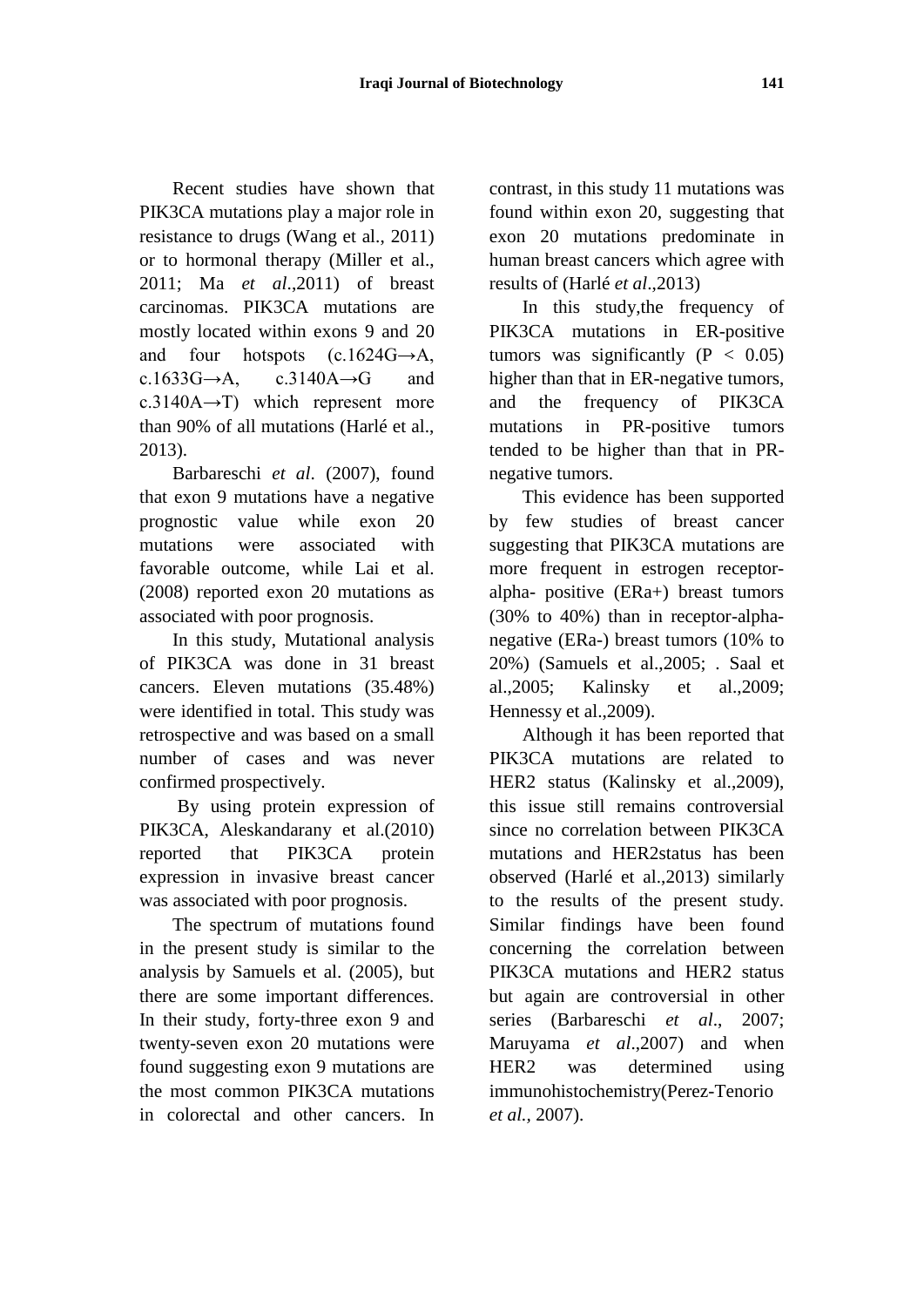Recent studies have shown that PIK3CA mutations play a major role in resistance to drugs (Wang et al., 2011) or to hormonal therapy (Miller et al., 2011; Ma *et al*.,2011) of breast carcinomas. PIK3CA mutations are mostly located within exons 9 and 20 and four hotspots  $(c.1624G \rightarrow A,$ c.1633G $\rightarrow$ A, c.3140A $\rightarrow$ G and c.3140A $\rightarrow$ T) which represent more than 90% of all mutations (Harlé et al., 2013).

Barbareschi *et al*. (2007), found that exon 9 mutations have a negative prognostic value while exon 20 mutations were associated with favorable outcome, while Lai et al. (2008) reported exon 20 mutations as associated with poor prognosis.

In this study, Mutational analysis of PIK3CA was done in 31 breast cancers. Eleven mutations (35.48%) were identified in total. This study was retrospective and was based on a small number of cases and was never confirmed prospectively.

By using protein expression of PIK3CA, Aleskandarany et al.(2010) reported that PIK3CA protein expression in invasive breast cancer was associated with poor prognosis.

The spectrum of mutations found in the present study is similar to the analysis by Samuels et al. (2005), but there are some important differences. In their study, forty-three exon 9 and twenty-seven exon 20 mutations were found suggesting exon 9 mutations are the most common PIK3CA mutations in colorectal and other cancers. In

contrast, in this study 11 mutations was found within exon 20, suggesting that exon 20 mutations predominate in human breast cancers which agree with results of (Harlé *et al*.,2013)

In this study,the frequency of PIK3CA mutations in ER-positive tumors was significantly  $(P < 0.05)$ higher than that in ER-negative tumors, and the frequency of PIK3CA mutations in PR-positive tumors tended to be higher than that in PRnegative tumors.

This evidence has been supported by few studies of breast cancer suggesting that PIK3CA mutations are more frequent in estrogen receptoralpha- positive (ERa+) breast tumors (30% to 40%) than in receptor-alphanegative (ERa-) breast tumors (10% to 20%) (Samuels et al.,2005; . Saal et al.,2005; Kalinsky et al.,2009; Hennessy et al.,2009).

Although it has been reported that PIK3CA mutations are related to HER2 status (Kalinsky et al.,2009), this issue still remains controversial since no correlation between PIK3CA mutations and HER2status has been observed (Harlé et al.,2013) similarly to the results of the present study. Similar findings have been found concerning the correlation between PIK3CA mutations and HER2 status but again are controversial in other series (Barbareschi *et al*., 2007; Maruyama *et al*.,2007) and when HER2 was determined using immunohistochemistry(Perez-Tenorio *et al.,* 2007).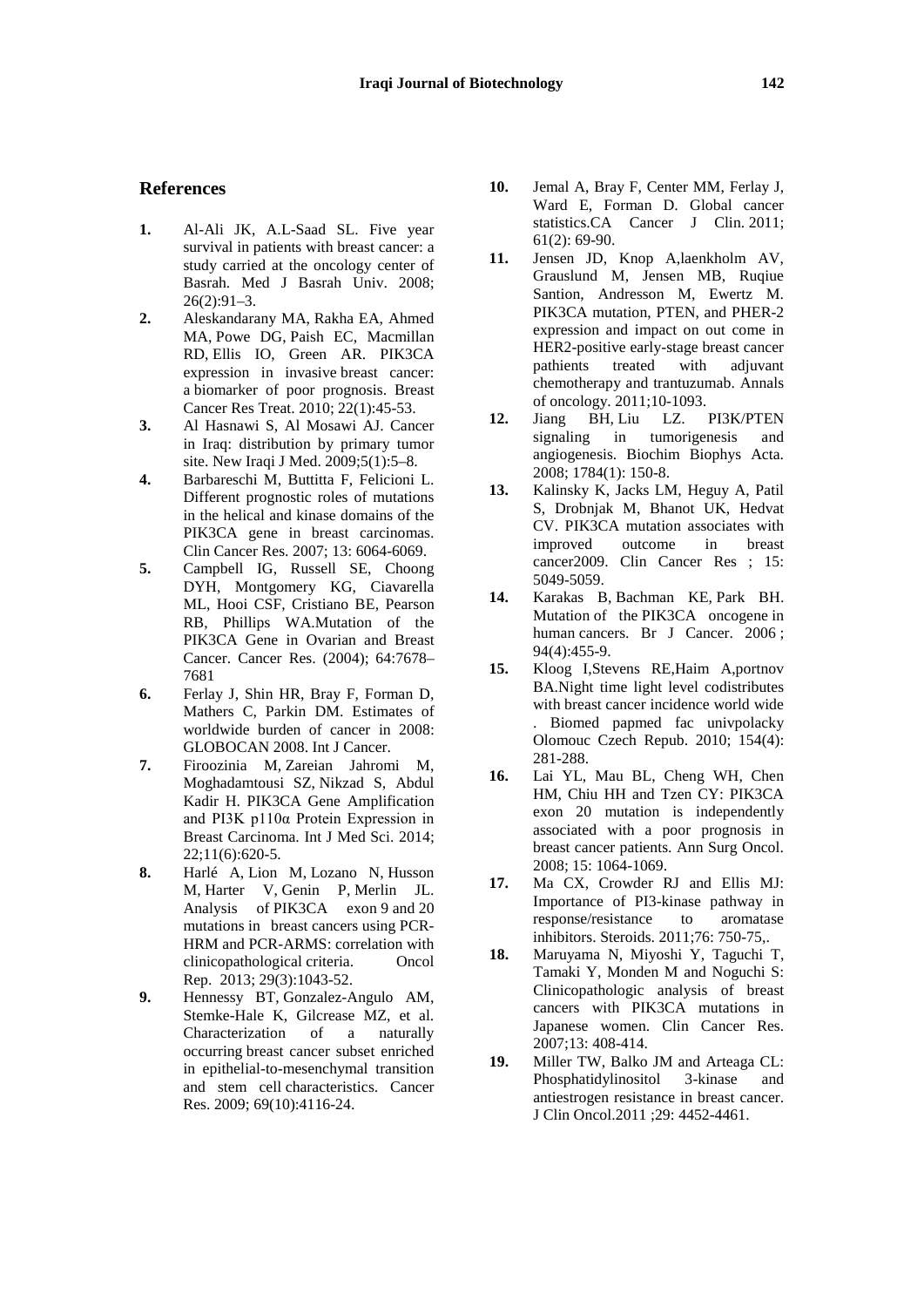#### **References**

- **1.** Al-Ali JK, A.L-Saad SL. Five year survival in patients with breast cancer: a study carried at the oncology center of Basrah. Med J Basrah Univ. 2008;  $26(2):91-3.$
- **2.** [Aleskandarany MA,](http://www.ncbi.nlm.nih.gov/pubmed?term=Aleskandarany%20MA%5BAuthor%5D&cauthor=true&cauthor_uid=19701705) [Rakha EA,](http://www.ncbi.nlm.nih.gov/pubmed?term=Rakha%20EA%5BAuthor%5D&cauthor=true&cauthor_uid=19701705) [Ahmed](http://www.ncbi.nlm.nih.gov/pubmed?term=Ahmed%20MA%5BAuthor%5D&cauthor=true&cauthor_uid=19701705)  [MA,](http://www.ncbi.nlm.nih.gov/pubmed?term=Ahmed%20MA%5BAuthor%5D&cauthor=true&cauthor_uid=19701705) [Powe DG,](http://www.ncbi.nlm.nih.gov/pubmed?term=Powe%20DG%5BAuthor%5D&cauthor=true&cauthor_uid=19701705) [Paish EC,](http://www.ncbi.nlm.nih.gov/pubmed?term=Paish%20EC%5BAuthor%5D&cauthor=true&cauthor_uid=19701705) [Macmillan](http://www.ncbi.nlm.nih.gov/pubmed?term=Macmillan%20RD%5BAuthor%5D&cauthor=true&cauthor_uid=19701705)  [RD,](http://www.ncbi.nlm.nih.gov/pubmed?term=Macmillan%20RD%5BAuthor%5D&cauthor=true&cauthor_uid=19701705) Ellis IO, [Green AR.](http://www.ncbi.nlm.nih.gov/pubmed?term=Green%20AR%5BAuthor%5D&cauthor=true&cauthor_uid=19701705) PIK3CA expression in invasive breast cancer: a biomarker of poor prognosis. [Breast](http://www.ncbi.nlm.nih.gov/pubmed/19701705)  Cancer [Res Treat.](http://www.ncbi.nlm.nih.gov/pubmed/19701705) 2010; 22(1):45-53.
- **3.** Al Hasnawi S, Al Mosawi AJ. Cancer in Iraq: distribution by primary tumor site. New Iraqi J Med. 2009;5(1):5–8.
- **4.** Barbareschi M, Buttitta F, Felicioni L. Different prognostic roles of mutations in the helical and kinase domains of the PIK3CA gene in breast carcinomas. Clin Cancer Res. 2007; 13: 6064-6069.
- **5.** Campbell IG, Russell SE, Choong DYH, Montgomery KG, Ciavarella ML, Hooi CSF, Cristiano BE, Pearson RB, Phillips WA.Mutation of the PIK3CA Gene in Ovarian and Breast Cancer. Cancer Res. (2004); 64:7678– 7681
- **6.** Ferlay J, Shin HR, Bray F, Forman D, Mathers C, Parkin DM. Estimates of worldwide burden of cancer in 2008: GLOBOCAN 2008. Int J Cancer.
- **7.** Firoozinia M, [Zareian Jahromi M,](http://www.ncbi.nlm.nih.gov/pubmed?term=Zareian%20Jahromi%20M%5BAuthor%5D&cauthor=true&cauthor_uid=24782652)  [Moghadamtousi SZ,](http://www.ncbi.nlm.nih.gov/pubmed?term=Moghadamtousi%20SZ%5BAuthor%5D&cauthor=true&cauthor_uid=24782652) [Nikzad S,](http://www.ncbi.nlm.nih.gov/pubmed?term=Nikzad%20S%5BAuthor%5D&cauthor=true&cauthor_uid=24782652) [Abdul](http://www.ncbi.nlm.nih.gov/pubmed?term=Abdul%20Kadir%20H%5BAuthor%5D&cauthor=true&cauthor_uid=24782652)  [Kadir H.](http://www.ncbi.nlm.nih.gov/pubmed?term=Abdul%20Kadir%20H%5BAuthor%5D&cauthor=true&cauthor_uid=24782652) PIK3CA Gene Amplification and PI3K p110α Protein Expression in Breast Carcinoma. [Int J Med Sci.](http://www.ncbi.nlm.nih.gov/pubmed/24782652) 2014; 22;11(6):620-5.
- **8.** Harlé A, Lion M, Lozano N, Husson M, Harter V, Genin P, Merlin JL. Analysis of PIK3CA exon 9 and 20 mutations in breast cancers using PCR-HRM and PCR-ARMS: correlation with clinicopathological criteria. Oncol Rep. 2013; 29(3):1043-52.
- **9.** Hennessy BT, Gonzalez-Angulo AM, Stemke-Hale K, Gilcrease MZ, et al. Characterization of a naturally occurring breast cancer subset enriched in epithelial-to-mesenchymal transition and stem cell characteristics. Cancer Res. 2009; 69(10):4116-24.
- **10.** Jemal A, Bray F, Center MM, Ferlay J, Ward E, Forman D. Global cancer statistics.CA Cancer J Clin. 2011; 61(2): 69-90.
- **11.** Jensen JD, Knop A,laenkholm AV, Grauslund M, Jensen MB, Ruqiue Santion, Andresson M, Ewertz M. PIK3CA mutation, PTEN, and PHER-2 expression and impact on out come in HER2-positive early-stage breast cancer pathients treated with adjuvant chemotherapy and trantuzumab. Annals of oncology. 2011;10-1093.
- **12.** [Jiang BH,](http://www.ncbi.nlm.nih.gov/pubmed?term=Jiang%20BH%5BAuthor%5D&cauthor=true&cauthor_uid=17964232) [Liu LZ.](http://www.ncbi.nlm.nih.gov/pubmed?term=Liu%20LZ%5BAuthor%5D&cauthor=true&cauthor_uid=17964232) PI3K/PTEN signaling in tumorigenesis and angiogenesis. Biochim Biophys Acta. 2008; 1784(1): 150-8.
- **13.** Kalinsky K, Jacks LM, Heguy A, Patil S, Drobnjak M, Bhanot UK, Hedvat CV. PIK3CA mutation associates with improved outcome in breast cancer2009. Clin Cancer Res ; 15: 5049-5059.
- **14.** [Karakas B,](http://www.ncbi.nlm.nih.gov/pubmed?term=Karakas%20B%5BAuthor%5D&cauthor=true&cauthor_uid=16449998) [Bachman KE,](http://www.ncbi.nlm.nih.gov/pubmed?term=Bachman%20KE%5BAuthor%5D&cauthor=true&cauthor_uid=16449998) [Park BH.](http://www.ncbi.nlm.nih.gov/pubmed?term=Park%20BH%5BAuthor%5D&cauthor=true&cauthor_uid=16449998) Mutation of the PIK3CA oncogene in human cancers. Br [J Cancer.](http://www.ncbi.nlm.nih.gov/pubmed/?term=Karakas+B%2C+Bachman+KE%2C+Park+BH+(2006)+Mutation+of+the+PIK3CA+oncogene+in+human+cancers.+Br+J+Cancer+94%3A455%E2%80%93459) 2006; 94(4):455-9.
- **15.** Kloog I,Stevens RE,Haim A,portnov BA.Night time light level codistributes with breast cancer incidence world wide . Biomed papmed fac univpolacky Olomouc Czech Repub. 2010; 154(4): 281-288.
- **16.** Lai YL, Mau BL, Cheng WH, Chen HM, Chiu HH and Tzen CY: PIK3CA exon 20 mutation is independently associated with a poor prognosis in breast cancer patients. Ann Surg Oncol. 2008; 15: 1064-1069.
- **17.** Ma CX, Crowder RJ and Ellis MJ: Importance of PI3-kinase pathway in response/resistance to aromatase inhibitors. Steroids. 2011;76: 750-75,.
- **18.** Maruyama N, Miyoshi Y, Taguchi T, Tamaki Y, Monden M and Noguchi S: Clinicopathologic analysis of breast cancers with PIK3CA mutations in Japanese women. Clin Cancer Res. 2007;13: 408-414.
- **19.** Miller TW, Balko JM and Arteaga CL: Phosphatidylinositol 3-kinase and antiestrogen resistance in breast cancer. J Clin Oncol.2011 ;29: 4452-4461.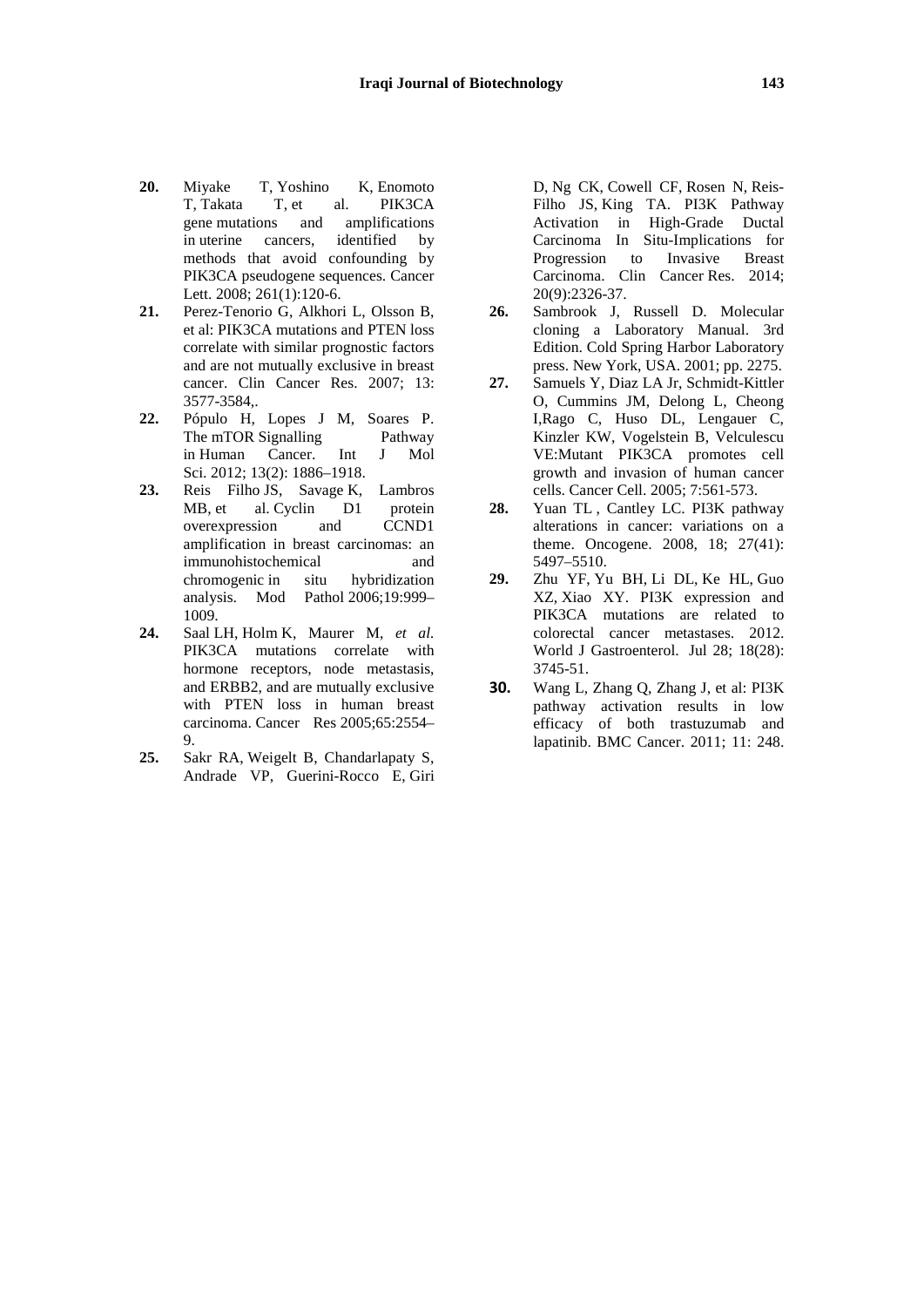- **20.** Miyake T, Yoshino K, Enomoto T, Takata T, et al. PIK3CA gene mutations and amplifications in uterine cancers, identified by methods that avoid confounding by PIK3CA pseudogene sequences. Cancer Lett. 2008; 261(1):120-6.
- **21.** Perez-Tenorio G, Alkhori L, Olsson B, et al: PIK3CA mutations and PTEN loss correlate with similar prognostic factors and are not mutually exclusive in breast cancer. Clin Cancer Res. 2007; 13: 3577-3584,.
- **22.** Pópulo H, Lopes J M, Soares P. The mTOR Signalling Pathway in Human Cancer. Int J Mol Sci. 2012; 13(2): 1886–1918.
- **23.** Reis Filho JS, Savage K, Lambros MB, et al. Cyclin D1 protein overexpression and CCND1 amplification in breast carcinomas: an immunohistochemical and chromogenic in situ hybridization analysis. Mod Pathol 2006;19:999– 1009.
- **24.** Saal LH, Holm K, Maurer M, *et al.*  PIK3CA mutations correlate with hormone receptors, node metastasis, and ERBB2, and are mutually exclusive with PTEN loss in human breast carcinoma. Cancer Res 2005;65:2554– 9.
- **25.** [Sakr RA,](http://www.ncbi.nlm.nih.gov/pubmed?term=Sakr%20RA%5BAuthor%5D&cauthor=true&cauthor_uid=24634376) [Weigelt B,](http://www.ncbi.nlm.nih.gov/pubmed?term=Weigelt%20B%5BAuthor%5D&cauthor=true&cauthor_uid=24634376) [Chandarlapaty S,](http://www.ncbi.nlm.nih.gov/pubmed?term=Chandarlapaty%20S%5BAuthor%5D&cauthor=true&cauthor_uid=24634376)  [Andrade VP,](http://www.ncbi.nlm.nih.gov/pubmed?term=Andrade%20VP%5BAuthor%5D&cauthor=true&cauthor_uid=24634376) [Guerini-Rocco E,](http://www.ncbi.nlm.nih.gov/pubmed?term=Guerini-Rocco%20E%5BAuthor%5D&cauthor=true&cauthor_uid=24634376) [Giri](http://www.ncbi.nlm.nih.gov/pubmed?term=Giri%20D%5BAuthor%5D&cauthor=true&cauthor_uid=24634376)

[D,](http://www.ncbi.nlm.nih.gov/pubmed?term=Giri%20D%5BAuthor%5D&cauthor=true&cauthor_uid=24634376) [Ng CK,](http://www.ncbi.nlm.nih.gov/pubmed?term=Ng%20CK%5BAuthor%5D&cauthor=true&cauthor_uid=24634376) [Cowell CF,](http://www.ncbi.nlm.nih.gov/pubmed?term=Cowell%20CF%5BAuthor%5D&cauthor=true&cauthor_uid=24634376) [Rosen N,](http://www.ncbi.nlm.nih.gov/pubmed?term=Rosen%20N%5BAuthor%5D&cauthor=true&cauthor_uid=24634376) [Reis-](http://www.ncbi.nlm.nih.gov/pubmed?term=Reis-Filho%20JS%5BAuthor%5D&cauthor=true&cauthor_uid=24634376)[Filho JS,](http://www.ncbi.nlm.nih.gov/pubmed?term=Reis-Filho%20JS%5BAuthor%5D&cauthor=true&cauthor_uid=24634376) [King TA.](http://www.ncbi.nlm.nih.gov/pubmed?term=King%20TA%5BAuthor%5D&cauthor=true&cauthor_uid=24634376) PI3K Pathway Activation in High-Grade Ductal Carcinoma In Situ-Implications for Progression to Invasive Breast Carcinoma. Clin Cancer Res. 2014; 20(9):2326-37.

- **26.** Sambrook J, Russell D. Molecular cloning a Laboratory Manual. 3rd Edition. Cold Spring Harbor Laboratory press. New York, USA. 2001; pp. 2275.
- **27.** Samuels Y, Diaz LA Jr, Schmidt-Kittler O, Cummins JM, Delong L, Cheong I,Rago C, Huso DL, Lengauer C, Kinzler KW, Vogelstein B, Velculescu VE:Mutant PIK3CA promotes cell growth and invasion of human cancer cells. Cancer Cell. 2005; 7:561-573.
- **28.** Yuan TL , Cantley LC. PI3K pathway alterations in cancer: variations on a theme. Oncogene. 2008, 18; 27(41): 5497–5510.
- **29.** Zhu YF, Yu BH, Li DL, Ke HL, Guo XZ, Xiao XY. PI3K expression and PIK3CA mutations are related to colorectal cancer metastases. 2012. World J Gastroenterol. Jul 28; 18(28): 3745-51.
- **30.** Wang L, Zhang Q, Zhang J, et al: PI3K pathway activation results in low efficacy of both trastuzumab and lapatinib. BMC Cancer. 2011; 11: 248.